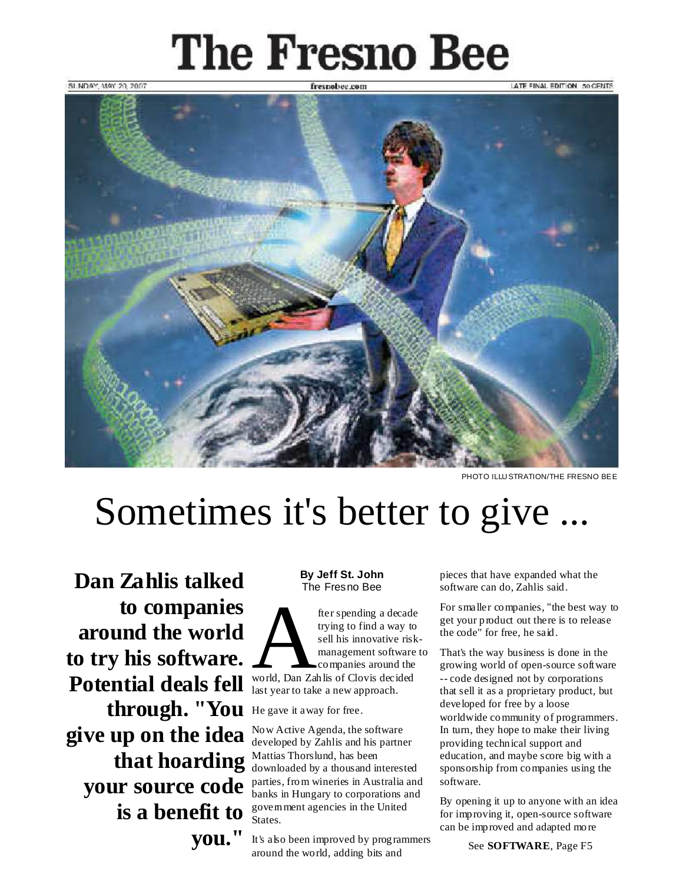# **The Fresno Bee**



PHOTO ILLU STRATION/THE FRESNO BEE

## Sometimes it's better to give ...

**Dan Zahlis talked to companies around the world to try his software. Potential deals fell** world, Dan Zahlis of Clovis decided A last year to take a new approach. through. "You He gave it away for free. **give up on the idea that hoarding** Mattias Thorslund, has been **your source code is a benefit to you."**

#### **By Jeff St. John** The Fresno Bee

fter spending a decade trying to find a way to sell his innovative riskmanagement software to companies around the

Now Active Agenda, the software developed by Zahlis and his partner downloaded by a thousand interested parties, from wineries in Australia and banks in Hungary to corporations and government agencies in the United States.

It's also been improved by programmers around the world, adding bits and

pieces that have expanded what the software can do, Zahlis said.

For smaller companies, "the best way to get your product out there is to release the code" for free, he said.

That's the way business is done in the growing world of open-source software -- code designed not by corporations that sell it as a proprietary product, but developed for free by a loose worldwide community of programmers. In turn, they hope to make their living providing technical support and education, and maybe score big with a sponsorship from companies using the software.

By opening it up to anyone with an idea for improving it, open-source software can be improved and adapted more

See **SOFTWARE**, Page F5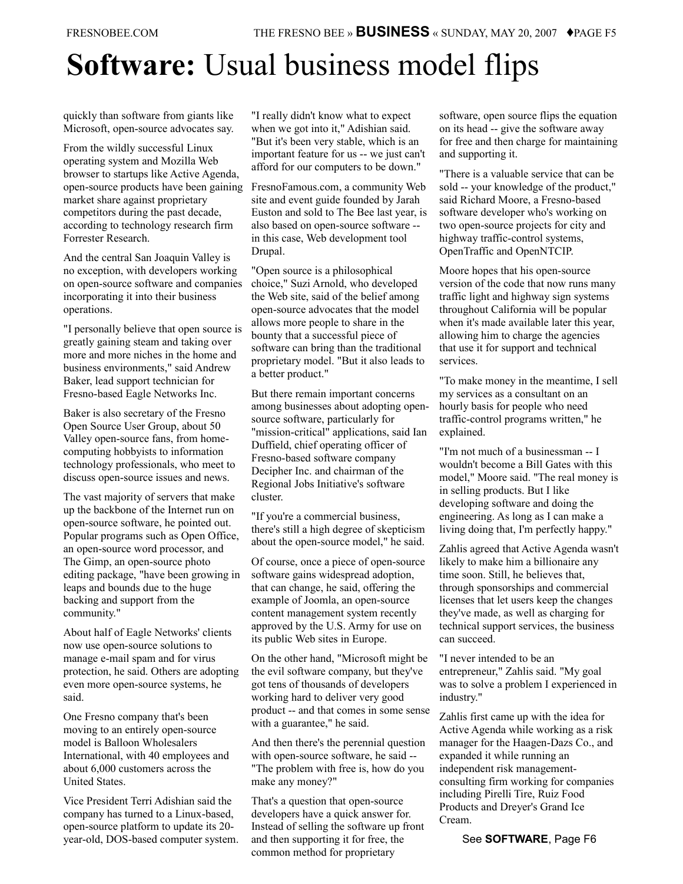## **Software:** Usual business model flips

quickly than software from giants like Microsoft, open-source advocates say.

From the wildly successful Linux operating system and Mozilla Web browser to startups like Active Agenda, open-source products have been gaining market share against proprietary competitors during the past decade, according to technology research firm Forrester Research.

And the central San Joaquin Valley is no exception, with developers working on open-source software and companies incorporating it into their business operations.

"I personally believe that open source is greatly gaining steam and taking over more and more niches in the home and business environments," said Andrew Baker, lead support technician for Fresno-based Eagle Networks Inc.

Baker is also secretary of the Fresno Open Source User Group, about 50 Valley open-source fans, from homecomputing hobbyists to information technology professionals, who meet to discuss open-source issues and news.

The vast majority of servers that make up the backbone of the Internet run on open-source software, he pointed out. Popular programs such as Open Office, an open-source word processor, and The Gimp, an open-source photo editing package, "have been growing in leaps and bounds due to the huge backing and support from the community."

About half of Eagle Networks' clients now use open-source solutions to manage e-mail spam and for virus protection, he said. Others are adopting even more open-source systems, he said.

One Fresno company that's been moving to an entirely open-source model is Balloon Wholesalers International, with 40 employees and about 6,000 customers across the United States.

Vice President Terri Adishian said the company has turned to a Linux-based, open-source platform to update its 20 year-old, DOS-based computer system. "I really didn't know what to expect when we got into it," Adishian said. "But it's been very stable, which is an important feature for us -- we just can't afford for our computers to be down."

FresnoFamous.com, a community Web site and event guide founded by Jarah Euston and sold to The Bee last year, is also based on open-source software - in this case, Web development tool Drupal.

"Open source is a philosophical choice," Suzi Arnold, who developed the Web site, said of the belief among open-source advocates that the model allows more people to share in the bounty that a successful piece of software can bring than the traditional proprietary model. "But it also leads to a better product."

But there remain important concerns among businesses about adopting opensource software, particularly for "mission-critical" applications, said Ian Duffield, chief operating officer of Fresno-based software company Decipher Inc. and chairman of the Regional Jobs Initiative's software cluster.

"If you're a commercial business, there's still a high degree of skepticism about the open-source model," he said.

Of course, once a piece of open-source software gains widespread adoption, that can change, he said, offering the example of Joomla, an open-source content management system recently approved by the U.S. Army for use on its public Web sites in Europe.

On the other hand, "Microsoft might be the evil software company, but they've got tens of thousands of developers working hard to deliver very good product -- and that comes in some sense with a guarantee," he said.

And then there's the perennial question with open-source software, he said -- "The problem with free is, how do you make any money?"

That's a question that open-source developers have a quick answer for. Instead of selling the software up front and then supporting it for free, the common method for proprietary

software, open source flips the equation on its head -- give the software away for free and then charge for maintaining and supporting it.

"There is a valuable service that can be sold -- your knowledge of the product," said Richard Moore, a Fresno-based software developer who's working on two open-source projects for city and highway traffic-control systems, OpenTraffic and OpenNTCIP.

Moore hopes that his open-source version of the code that now runs many traffic light and highway sign systems throughout California will be popular when it's made available later this year, allowing him to charge the agencies that use it for support and technical services.

"To make money in the meantime, I sell my services as a consultant on an hourly basis for people who need traffic-control programs written," he explained.

"I'm not much of a businessman -- I wouldn't become a Bill Gates with this model," Moore said. "The real money is in selling products. But I like developing software and doing the engineering. As long as I can make a living doing that, I'm perfectly happy."

Zahlis agreed that Active Agenda wasn't likely to make him a billionaire any time soon. Still, he believes that, through sponsorships and commercial licenses that let users keep the changes they've made, as well as charging for technical support services, the business can succeed.

"I never intended to be an entrepreneur," Zahlis said. "My goal was to solve a problem I experienced in industry."

Zahlis first came up with the idea for Active Agenda while working as a risk manager for the Haagen-Dazs Co., and expanded it while running an independent risk managementconsulting firm working for companies including Pirelli Tire, Ruiz Food Products and Dreyer's Grand Ice Cream.

See **SOFTWARE**, Page F6